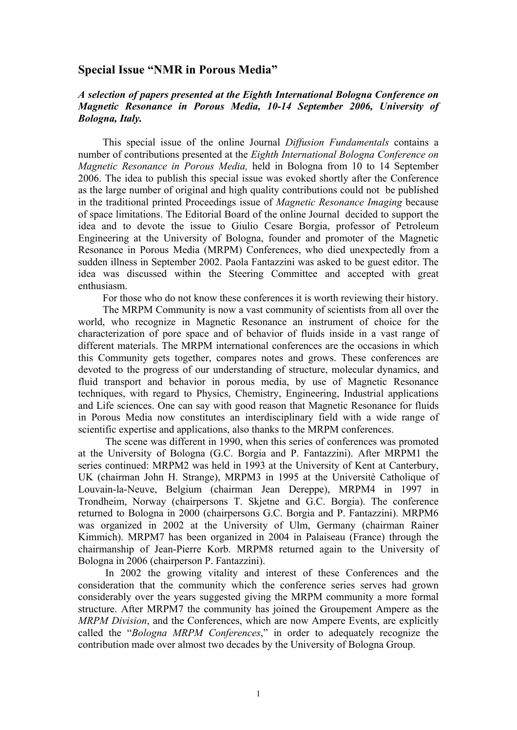## **Special Issue "NMR in Porous Media"**

## *A selection of papers presented at the Eighth International Bologna Conference on Magnetic Resonance in Porous Media, 10-14 September 2006, University of Bologna, Italy.*

This special issue of the online Journal *Diffusion Fundamentals* contains a number of contributions presented at the *Eighth International Bologna Conference on Magnetic Resonance in Porous Media,* held in Bologna from 10 to 14 September 2006. The idea to publish this special issue was evoked shortly after the Conference as the large number of original and high quality contributions could not be published in the traditional printed Proceedings issue of *Magnetic Resonance Imaging* because of space limitations. The Editorial Board of the online Journal decided to support the idea and to devote the issue to Giulio Cesare Borgia, professor of Petroleum Engineering at the University of Bologna, founder and promoter of the Magnetic Resonance in Porous Media (MRPM) Conferences, who died unexpectedly from a sudden illness in September 2002. Paola Fantazzini was asked to be guest editor. The idea was discussed within the Steering Committee and accepted with great enthusiasm.

For those who do not know these conferences it is worth reviewing their history.

The MRPM Community is now a vast community of scientists from all over the world, who recognize in Magnetic Resonance an instrument of choice for the characterization of pore space and of behavior of fluids inside in a vast range of different materials. The MRPM international conferences are the occasions in which this Community gets together, compares notes and grows. These conferences are devoted to the progress of our understanding of structure, molecular dynamics, and fluid transport and behavior in porous media, by use of Magnetic Resonance techniques, with regard to Physics, Chemistry, Engineering, Industrial applications and Life sciences. One can say with good reason that Magnetic Resonance for fluids in Porous Media now constitutes an interdisciplinary field with a wide range of scientific expertise and applications, also thanks to the MRPM conferences.

 The scene was different in 1990, when this series of conferences was promoted at the University of Bologna (G.C. Borgia and P. Fantazzini). After MRPM1 the series continued: MRPM2 was held in 1993 at the University of Kent at Canterbury, UK (chairman John H. Strange), MRPM3 in 1995 at the Universitè Catholique of Louvain-la-Neuve, Belgium (chairman Jean Dereppe), MRPM4 in 1997 in Trondheim, Norway (chairpersons T. Skjetne and G.C. Borgia). The conference returned to Bologna in 2000 (chairpersons G.C. Borgia and P. Fantazzini). MRPM6 was organized in 2002 at the University of Ulm, Germany (chairman Rainer Kimmich). MRPM7 has been organized in 2004 in Palaiseau (France) through the chairmanship of Jean-Pierre Korb. MRPM8 returned again to the University of Bologna in 2006 (chairperson P. Fantazzini).

 In 2002 the growing vitality and interest of these Conferences and the consideration that the community which the conference series serves had grown considerably over the years suggested giving the MRPM community a more formal structure. After MRPM7 the community has joined the Groupement Ampere as the *MRPM Division*, and the Conferences, which are now Ampere Events, are explicitly called the "*Bologna MRPM Conferences*," in order to adequately recognize the contribution made over almost two decades by the University of Bologna Group.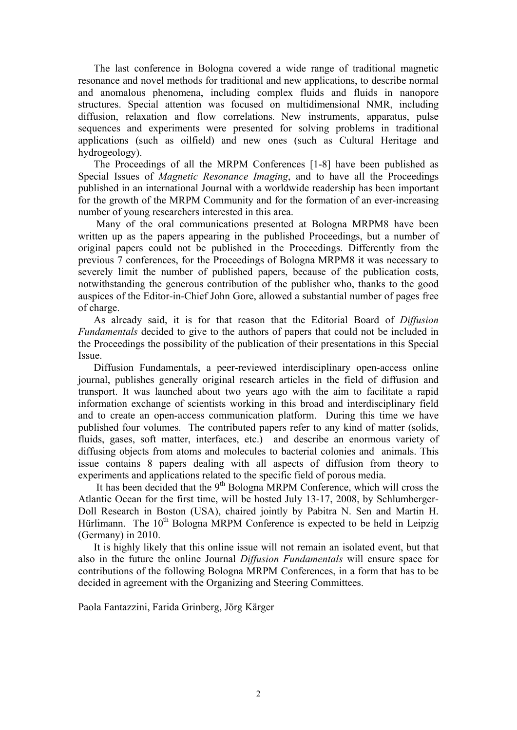The last conference in Bologna covered a wide range of traditional magnetic resonance and novel methods for traditional and new applications, to describe normal and anomalous phenomena, including complex fluids and fluids in nanopore structures. Special attention was focused on multidimensional NMR, including diffusion, relaxation and flow correlations. New instruments, apparatus, pulse sequences and experiments were presented for solving problems in traditional applications (such as oilfield) and new ones (such as Cultural Heritage and hydrogeology).

The Proceedings of all the MRPM Conferences [1-8] have been published as Special Issues of *Magnetic Resonance Imaging*, and to have all the Proceedings published in an international Journal with a worldwide readership has been important for the growth of the MRPM Community and for the formation of an ever-increasing number of young researchers interested in this area.

 Many of the oral communications presented at Bologna MRPM8 have been written up as the papers appearing in the published Proceedings, but a number of original papers could not be published in the Proceedings. Differently from the previous 7 conferences, for the Proceedings of Bologna MRPM8 it was necessary to severely limit the number of published papers, because of the publication costs, notwithstanding the generous contribution of the publisher who, thanks to the good auspices of the Editor-in-Chief John Gore, allowed a substantial number of pages free of charge.

As already said, it is for that reason that the Editorial Board of *Diffusion Fundamentals* decided to give to the authors of papers that could not be included in the Proceedings the possibility of the publication of their presentations in this Special Issue.

Diffusion Fundamentals, a peer-reviewed interdisciplinary open-access online journal, publishes generally original research articles in the field of diffusion and transport. It was launched about two years ago with the aim to facilitate a rapid information exchange of scientists working in this broad and interdisciplinary field and to create an open-access communication platform. During this time we have published four volumes. The contributed papers refer to any kind of matter (solids, fluids, gases, soft matter, interfaces, etc.) and describe an enormous variety of diffusing objects from atoms and molecules to bacterial colonies and animals. This issue contains 8 papers dealing with all aspects of diffusion from theory to experiments and applications related to the specific field of porous media.

It has been decided that the  $9<sup>th</sup>$  Bologna MRPM Conference, which will cross the Atlantic Ocean for the first time, will be hosted July 13-17, 2008, by Schlumberger-Doll Research in Boston (USA), chaired jointly by Pabitra N. Sen and Martin H. Hürlimann. The  $10^{th}$  Bologna MRPM Conference is expected to be held in Leipzig (Germany) in 2010.

It is highly likely that this online issue will not remain an isolated event, but that also in the future the online Journal *Diffusion Fundamentals* will ensure space for contributions of the following Bologna MRPM Conferences, in a form that has to be decided in agreement with the Organizing and Steering Committees.

Paola Fantazzini, Farida Grinberg, Jörg Kärger